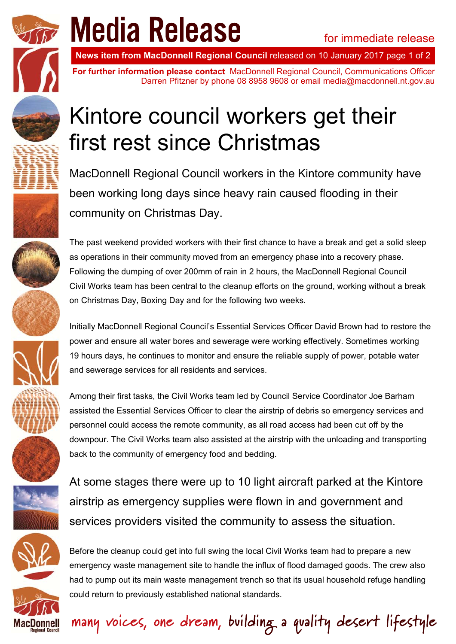

**INDUICILLET COUP**<br>**News item from MacDonnell Regional Council** released on 10 January 2017 page 1 of 2

**For further information please contact** MacDonnell Regional Council, Communications Officer Darren Pfitzner by phone 08 8958 9608 or email media@macdonnell.nt.gov.au

## Kintore council workers get their first rest since Christmas

MacDonnell Regional Council workers in the Kintore community have been working long days since heavy rain caused flooding in their community on Christmas Day.

The past weekend provided workers with their first chance to have a break and get a solid sleep as operations in their community moved from an emergency phase into a recovery phase. Following the dumping of over 200mm of rain in 2 hours, the MacDonnell Regional Council Civil Works team has been central to the cleanup efforts on the ground, working without a break on Christmas Day, Boxing Day and for the following two weeks.

Initially MacDonnell Regional Council's Essential Services Officer David Brown had to restore the power and ensure all water bores and sewerage were working effectively. Sometimes working 19 hours days, he continues to monitor and ensure the reliable supply of power, potable water and sewerage services for all residents and services.

Among their first tasks, the Civil Works team led by Council Service Coordinator Joe Barham assisted the Essential Services Officer to clear the airstrip of debris so emergency services and personnel could access the remote community, as all road access had been cut off by the downpour. The Civil Works team also assisted at the airstrip with the unloading and transporting back to the community of emergency food and bedding.

At some stages there were up to 10 light aircraft parked at the Kintore airstrip as emergency supplies were flown in and government and services providers visited the community to assess the situation.



many voices, one dream, building a quality desert lifestyle